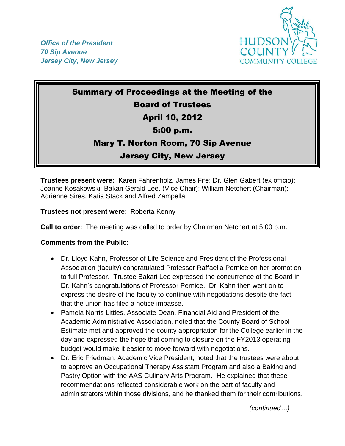*Office of the President 70 Sip Avenue Jersey City, New Jersey*



## Summary of Proceedings at the Meeting of the Board of Trustees April 10, 2012 5:00 p.m. Mary T. Norton Room, 70 Sip Avenue Jersey City, New Jersey

**Trustees present were:** Karen Fahrenholz, James Fife; Dr. Glen Gabert (ex officio); Joanne Kosakowski; Bakari Gerald Lee, (Vice Chair); William Netchert (Chairman); Adrienne Sires, Katia Stack and Alfred Zampella.

**Trustees not present were**: Roberta Kenny

**Call to order**: The meeting was called to order by Chairman Netchert at 5:00 p.m.

## **Comments from the Public:**

- Dr. Lloyd Kahn, Professor of Life Science and President of the Professional Association (faculty) congratulated Professor Raffaella Pernice on her promotion to full Professor. Trustee Bakari Lee expressed the concurrence of the Board in Dr. Kahn's congratulations of Professor Pernice. Dr. Kahn then went on to express the desire of the faculty to continue with negotiations despite the fact that the union has filed a notice impasse.
- Pamela Norris Littles, Associate Dean, Financial Aid and President of the Academic Administrative Association, noted that the County Board of School Estimate met and approved the county appropriation for the College earlier in the day and expressed the hope that coming to closure on the FY2013 operating budget would make it easier to move forward with negotiations.
- Dr. Eric Friedman, Academic Vice President, noted that the trustees were about to approve an Occupational Therapy Assistant Program and also a Baking and Pastry Option with the AAS Culinary Arts Program. He explained that these recommendations reflected considerable work on the part of faculty and administrators within those divisions, and he thanked them for their contributions.

 *(continued…)*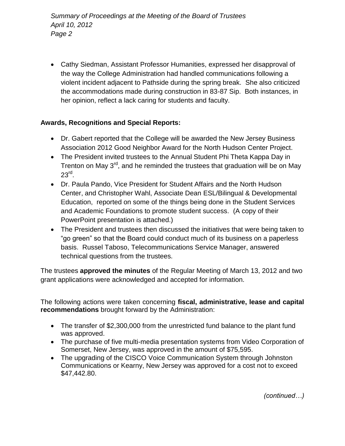*Summary of Proceedings at the Meeting of the Board of Trustees April 10, 2012 Page 2*

 Cathy Siedman, Assistant Professor Humanities, expressed her disapproval of the way the College Administration had handled communications following a violent incident adjacent to Pathside during the spring break. She also criticized the accommodations made during construction in 83-87 Sip. Both instances, in her opinion, reflect a lack caring for students and faculty.

## **Awards, Recognitions and Special Reports:**

- Dr. Gabert reported that the College will be awarded the New Jersey Business Association 2012 Good Neighbor Award for the North Hudson Center Project.
- The President invited trustees to the Annual Student Phi Theta Kappa Day in Trenton on May  $3^{rd}$ , and he reminded the trustees that graduation will be on May  $23^{\text{rd}}$ .
- Dr. Paula Pando, Vice President for Student Affairs and the North Hudson Center, and Christopher Wahl, Associate Dean ESL/Bilingual & Developmental Education, reported on some of the things being done in the Student Services and Academic Foundations to promote student success. (A copy of their PowerPoint presentation is attached.)
- The President and trustees then discussed the initiatives that were being taken to "go green" so that the Board could conduct much of its business on a paperless basis. Russel Taboso, Telecommunications Service Manager, answered technical questions from the trustees.

The trustees **approved the minutes** of the Regular Meeting of March 13, 2012 and two grant applications were acknowledged and accepted for information.

The following actions were taken concerning **fiscal, administrative, lease and capital recommendations** brought forward by the Administration:

- The transfer of \$2,300,000 from the unrestricted fund balance to the plant fund was approved.
- The purchase of five multi-media presentation systems from Video Corporation of Somerset, New Jersey, was approved in the amount of \$75,595.
- The upgrading of the CISCO Voice Communication System through Johnston Communications or Kearny, New Jersey was approved for a cost not to exceed \$47,442.80.

 *(continued…)*